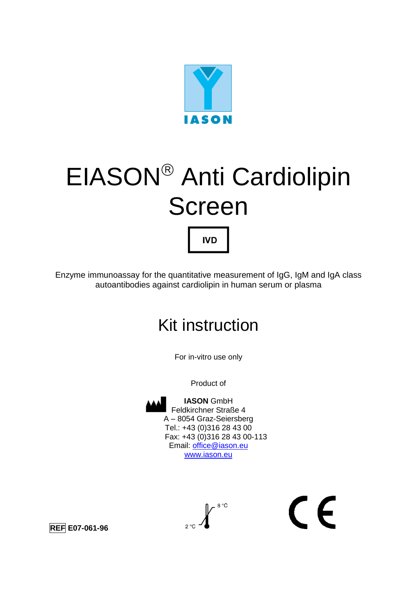

# EIASON<sup>®</sup> Anti Cardiolipin Screen **IVD**

Enzyme immunoassay for the quantitative measurement of IgG, IgM and IgA class autoantibodies against cardiolipin in human serum or plasma

# Kit instruction

For in-vitro use only

Product of



**IASON** GmbH Feldkirchner Straße 4 A – 8054 Graz-Seiersberg Tel.: +43 (0)316 28 43 00 Fax: +43 (0)316 28 43 00-113 Email: [office@iason.eu](mailto:office@iason.eu) [www.iason.eu](http://www.iason.eu/)



 $\epsilon$ 

**REF E07-061-96**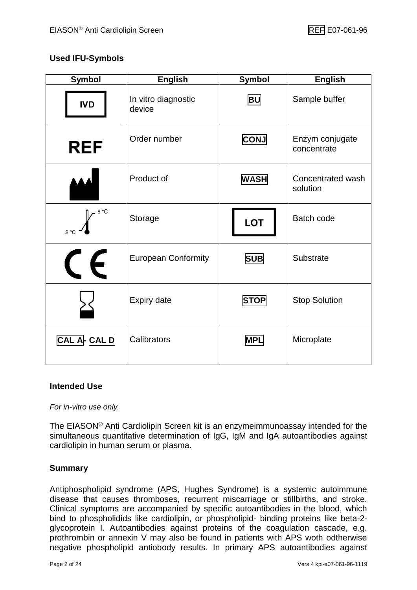# **Used IFU-Symbols**

| <b>Symbol</b> | <b>English</b>                | <b>Symbol</b> | <b>English</b>                 |
|---------------|-------------------------------|---------------|--------------------------------|
| <b>IVD</b>    | In vitro diagnostic<br>device | <b>BU</b>     | Sample buffer                  |
| <b>REF</b>    | Order number                  | <b>CONJ</b>   | Enzym conjugate<br>concentrate |
|               | Product of                    | <b>WASH</b>   | Concentrated wash<br>solution  |
| 8 °C<br>2°C   | Storage                       | <b>LOT</b>    | <b>Batch code</b>              |
| $\mathsf{F}$  | <b>European Conformity</b>    | <b>SUB</b>    | Substrate                      |
|               | Expiry date                   | <b>STOP</b>   | <b>Stop Solution</b>           |
| CAL A-CAL D   | Calibrators                   | <b>MPL</b>    | Microplate                     |

# **Intended Use**

*For in-vitro use only.*

The EIASON® Anti Cardiolipin Screen kit is an enzymeimmunoassay intended for the simultaneous quantitative determination of IgG, IgM and IgA autoantibodies against cardiolipin in human serum or plasma.

# **Summary**

Antiphospholipid syndrome (APS, Hughes Syndrome) is a systemic autoimmune disease that causes thromboses, recurrent miscarriage or stillbirths, and stroke. Clinical symptoms are accompanied by specific autoantibodies in the blood, which bind to phospholidids like cardiolipin, or phospholipid- binding proteins like beta-2 glycoprotein I. Autoantibodies against proteins of the coagulation cascade, e.g. prothrombin or annexin V may also be found in patients with APS woth odtherwise negative phospholipid antiobody results. In primary APS autoantibodies against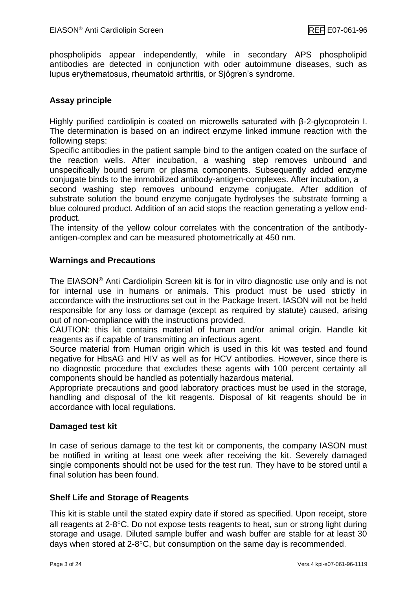phospholipids appear independently, while in secondary APS phospholipid antibodies are detected in conjunction with oder autoimmune diseases, such as lupus erythematosus, rheumatoid arthritis, or Sjögren's syndrome.

# **Assay principle**

Highly purified cardiolipin is coated on microwells saturated with β-2-glycoprotein I. The determination is based on an indirect enzyme linked immune reaction with the following steps:

Specific antibodies in the patient sample bind to the antigen coated on the surface of the reaction wells. After incubation, a washing step removes unbound and unspecifically bound serum or plasma components. Subsequently added enzyme conjugate binds to the immobilized antibody-antigen-complexes. After incubation, a

second washing step removes unbound enzyme conjugate. After addition of substrate solution the bound enzyme conjugate hydrolyses the substrate forming a blue coloured product. Addition of an acid stops the reaction generating a yellow endproduct.

The intensity of the yellow colour correlates with the concentration of the antibodyantigen-complex and can be measured photometrically at 450 nm.

# **Warnings and Precautions**

The EIASON® Anti Cardiolipin Screen kit is for in vitro diagnostic use only and is not for internal use in humans or animals. This product must be used strictly in accordance with the instructions set out in the Package Insert. IASON will not be held responsible for any loss or damage (except as required by statute) caused, arising out of non-compliance with the instructions provided.

CAUTION: this kit contains material of human and/or animal origin. Handle kit reagents as if capable of transmitting an infectious agent.

Source material from Human origin which is used in this kit was tested and found negative for HbsAG and HIV as well as for HCV antibodies. However, since there is no diagnostic procedure that excludes these agents with 100 percent certainty all components should be handled as potentially hazardous material.

Appropriate precautions and good laboratory practices must be used in the storage, handling and disposal of the kit reagents. Disposal of kit reagents should be in accordance with local regulations.

#### **Damaged test kit**

In case of serious damage to the test kit or components, the company IASON must be notified in writing at least one week after receiving the kit. Severely damaged single components should not be used for the test run. They have to be stored until a final solution has been found.

#### **Shelf Life and Storage of Reagents**

This kit is stable until the stated expiry date if stored as specified. Upon receipt, store all reagents at  $2-8$  °C. Do not expose tests reagents to heat, sun or strong light during storage and usage. Diluted sample buffer and wash buffer are stable for at least 30 days when stored at  $2-8$  °C, but consumption on the same day is recommended.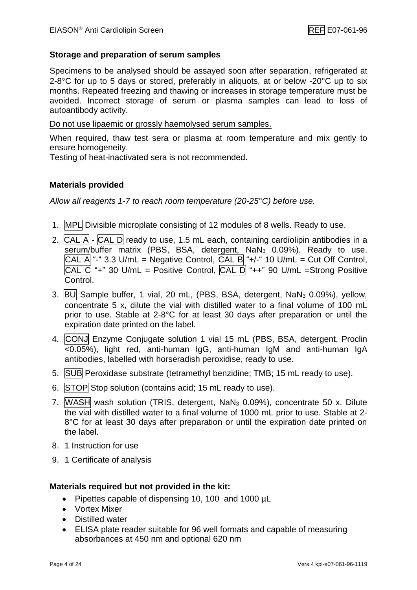# **Storage and preparation of serum samples**

Specimens to be analysed should be assayed soon after separation, refrigerated at 2-8 $\degree$ C for up to 5 days or stored, preferably in aliquots, at or below -20 $\degree$ C up to six months. Repeated freezing and thawing or increases in storage temperature must be avoided. Incorrect storage of serum or plasma samples can lead to loss of autoantibody activity.

#### Do not use lipaemic or grossly haemolysed serum samples.

When required, thaw test sera or plasma at room temperature and mix gently to ensure homogeneity.

Testing of heat-inactivated sera is not recommended.

# **Materials provided**

*Allow all reagents 1-7 to reach room temperature (20-25°C) before use.*

- 1. MPL Divisible microplate consisting of 12 modules of 8 wells. Ready to use.
- 2.  $CAL$  A  $CAL$  D ready to use, 1.5 mL each, containing cardiolipin antibodies in a serum/buffer matrix (PBS, BSA, detergent, NaN<sup>3</sup> 0.09%). Ready to use. CAL A "-" 3.3 U/mL = Negative Control,  $\overline{CALB}$  "+/-" 10 U/mL = Cut Off Control, CAL C "+" 30 U/mL = Positive Control, CAL D "++" 90 U/mL = Strong Positive Control.
- 3. BU Sample buffer, 1 vial, 20 mL, (PBS, BSA, detergent, NaN<sub>3</sub> 0.09%), yellow, concentrate 5 x, dilute the vial with distilled water to a final volume of 100 mL prior to use. Stable at 2-8°C for at least 30 days after preparation or until the expiration date printed on the label.
- 4. CONJ Enzyme Conjugate solution 1 vial 15 mL (PBS, BSA, detergent, Proclin  $\overline{0.05\%}$ ), light red, anti-human IgG, anti-human IgM and anti-human IgA antibodies, labelled with horseradish peroxidise, ready to use.
- 5. SUB Peroxidase substrate (tetramethyl benzidine; TMB; 15 mL ready to use).
- 6. STOP Stop solution (contains acid; 15 mL ready to use).
- 7. WASH wash solution (TRIS, detergent, NaN<sup>3</sup> 0.09%), concentrate 50 x. Dilute the vial with distilled water to a final volume of 1000 mL prior to use. Stable at 2- 8°C for at least 30 days after preparation or until the expiration date printed on the label.
- 8. 1 Instruction for use
- 9. 1 Certificate of analysis

# **Materials required but not provided in the kit:**

- Pipettes capable of dispensing 10, 100 and 1000 µL
- Vortex Mixer
- Distilled water
- ELISA plate reader suitable for 96 well formats and capable of measuring absorbances at 450 nm and optional 620 nm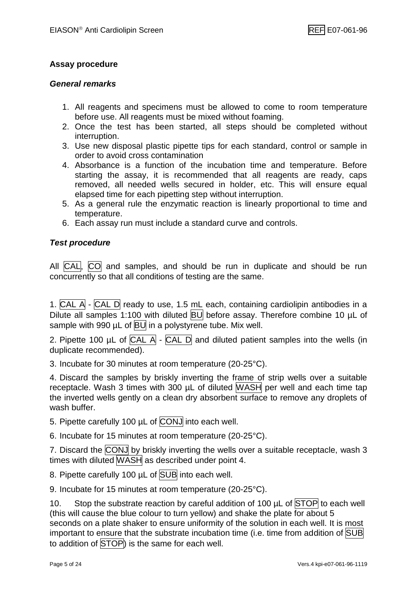# **Assay procedure**

## *General remarks*

- 1. All reagents and specimens must be allowed to come to room temperature before use. All reagents must be mixed without foaming.
- 2. Once the test has been started, all steps should be completed without interruption.
- 3. Use new disposal plastic pipette tips for each standard, control or sample in order to avoid cross contamination
- 4. Absorbance is a function of the incubation time and temperature. Before starting the assay, it is recommended that all reagents are ready, caps removed, all needed wells secured in holder, etc. This will ensure equal elapsed time for each pipetting step without interruption.
- 5. As a general rule the enzymatic reaction is linearly proportional to time and temperature.
- 6. Each assay run must include a standard curve and controls.

# *Test procedure*

All CAL, CO and samples, and should be run in duplicate and should be run concurrently so that all conditions of testing are the same.

1. CAL A - CAL D ready to use, 1.5 mL each, containing cardiolipin antibodies in a Dilute all samples 1:100 with diluted **BU** before assay. Therefore combine 10 µL of sample with 990  $\mu$ L of  $|BU|$  in a polystyrene tube. Mix well.

2. Pipette 100  $\mu$ L of CAL A - CAL D and diluted patient samples into the wells (in duplicate recommended).

3. Incubate for 30 minutes at room temperature (20-25°C).

4. Discard the samples by briskly inverting the frame of strip wells over a suitable receptacle. Wash 3 times with 300 µL of diluted WASH per well and each time tap the inverted wells gently on a clean dry absorbent surface to remove any droplets of wash buffer.

5. Pipette carefully 100 µL of CONJ into each well.

6. Incubate for 15 minutes at room temperature (20-25°C).

7. Discard the CONJ by briskly inverting the wells over a suitable receptacle, wash 3 times with diluted WASH as described under point 4.

8. Pipette carefully 100 µL of SUB into each well.

9. Incubate for 15 minutes at room temperature (20-25°C).

10. Stop the substrate reaction by careful addition of 100  $\mu$ L of STOP to each well (this will cause the blue colour to turn yellow) and shake the plate for about 5 seconds on a plate shaker to ensure uniformity of the solution in each well. It is most important to ensure that the substrate incubation time (i.e. time from addition of SUB to addition of STOP) is the same for each well.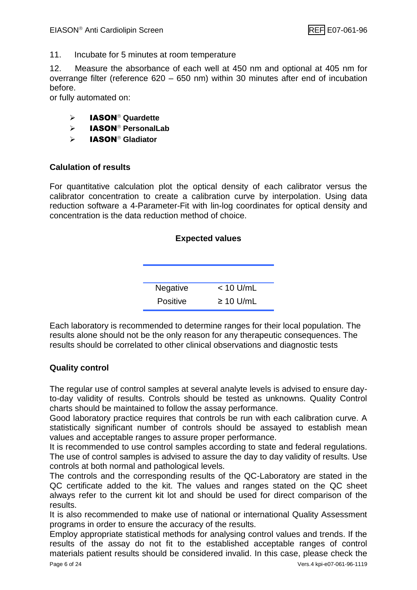11. Incubate for 5 minutes at room temperature

12. Measure the absorbance of each well at 450 nm and optional at 405 nm for overrange filter (reference 620 – 650 nm) within 30 minutes after end of incubation before.

or fully automated on:

- > **IASON<sup>®</sup> Quardette**
- > **IASON<sup>®</sup> PersonalLab**
- > **IASON<sup>®</sup> Gladiator**

#### **Calulation of results**

For quantitative calculation plot the optical density of each calibrator versus the calibrator concentration to create a calibration curve by interpolation. Using data reduction software a 4-Parameter-Fit with lin-log coordinates for optical density and concentration is the data reduction method of choice.

# **Expected values**

| <b>Negative</b> | $<$ 10 U/mL    |
|-----------------|----------------|
| Positive        | $\geq$ 10 U/mL |

Each laboratory is recommended to determine ranges for their local population. The results alone should not be the only reason for any therapeutic consequences. The results should be correlated to other clinical observations and diagnostic tests

# **Quality control**

The regular use of control samples at several analyte levels is advised to ensure dayto-day validity of results. Controls should be tested as unknowns. Quality Control charts should be maintained to follow the assay performance.

Good laboratory practice requires that controls be run with each calibration curve. A statistically significant number of controls should be assayed to establish mean values and acceptable ranges to assure proper performance.

It is recommended to use control samples according to state and federal regulations. The use of control samples is advised to assure the day to day validity of results. Use controls at both normal and pathological levels.

The controls and the corresponding results of the QC-Laboratory are stated in the QC certificate added to the kit. The values and ranges stated on the QC sheet always refer to the current kit lot and should be used for direct comparison of the results.

It is also recommended to make use of national or international Quality Assessment programs in order to ensure the accuracy of the results.

Page 6 of 24 Vers.4 kpi-e07-061-96-1119 Employ appropriate statistical methods for analysing control values and trends. If the results of the assay do not fit to the established acceptable ranges of control materials patient results should be considered invalid. In this case, please check the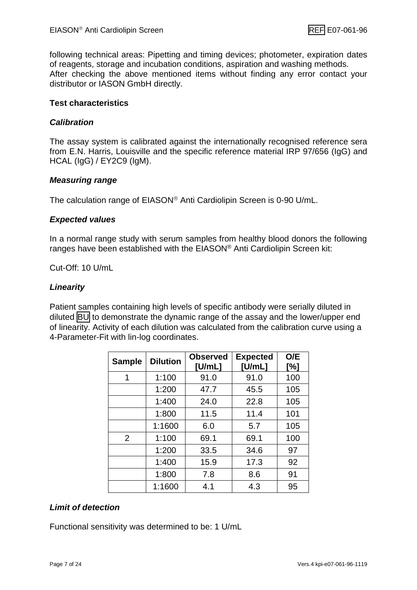following technical areas: Pipetting and timing devices; photometer, expiration dates of reagents, storage and incubation conditions, aspiration and washing methods. After checking the above mentioned items without finding any error contact your distributor or IASON GmbH directly.

# **Test characteristics**

# *Calibration*

The assay system is calibrated against the internationally recognised reference sera from E.N. Harris, Louisville and the specific reference material IRP 97/656 (IgG) and HCAL (IgG) / EY2C9 (IgM).

# *Measuring range*

The calculation range of EIASON<sup>®</sup> Anti Cardiolipin Screen is 0-90 U/mL.

# *Expected values*

In a normal range study with serum samples from healthy blood donors the following ranges have been established with the EIASON® Anti Cardiolipin Screen kit:

Cut-Off: 10 U/mL

# *Linearity*

Patient samples containing high levels of specific antibody were serially diluted in diluted BU to demonstrate the dynamic range of the assay and the lower/upper end of linearity. Activity of each dilution was calculated from the calibration curve using a 4-Parameter-Fit with lin-log coordinates.

| <b>Sample</b> | <b>Dilution</b> | <b>Observed</b><br>[U/mL] | <b>Expected</b><br>[U/mL] | O/E<br>[%] |
|---------------|-----------------|---------------------------|---------------------------|------------|
| 1             | 1:100           | 91.0                      | 91.0                      | 100        |
|               | 1:200           | 47.7                      | 45.5                      | 105        |
|               | 1:400           | 24.0                      | 22.8                      | 105        |
|               | 1:800           | 11.5                      | 11.4                      | 101        |
|               | 1:1600          | 6.0                       | 5.7                       | 105        |
| 2             | 1:100           | 69.1                      | 69.1                      | 100        |
|               | 1:200           | 33.5                      | 34.6                      | 97         |
|               | 1:400           | 15.9                      | 17.3                      | 92         |
|               | 1:800           | 7.8                       | 8.6                       | 91         |
|               | 1:1600          | 4.1                       | 4.3                       | 95         |

# *Limit of detection*

Functional sensitivity was determined to be: 1 U/mL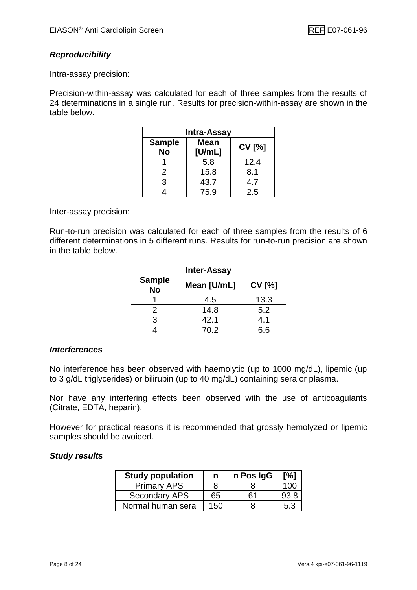# *Reproducibility*

#### Intra-assay precision:

Precision-within-assay was calculated for each of three samples from the results of 24 determinations in a single run. Results for precision-within-assay are shown in the table below.

| <b>Intra-Assay</b>  |               |      |  |  |
|---------------------|---------------|------|--|--|
| <b>Sample</b><br>No | <b>CV [%]</b> |      |  |  |
|                     | 5.8           | 12.4 |  |  |
| 2                   | 15.8          | 8.1  |  |  |
| 3                   | 43.7          | 4.7  |  |  |
|                     | 75.9          | 2.5  |  |  |

#### Inter-assay precision:

Run-to-run precision was calculated for each of three samples from the results of 6 different determinations in 5 different runs. Results for run-to-run precision are shown in the table below.

| <b>Inter-Assay</b>                                         |      |      |  |  |
|------------------------------------------------------------|------|------|--|--|
| <b>Sample</b><br><b>CV [%]</b><br>Mean [U/mL]<br><b>No</b> |      |      |  |  |
|                                                            | 4.5  | 13.3 |  |  |
| 2                                                          | 14.8 | 5.2  |  |  |
|                                                            | 42.1 | 4.1  |  |  |
|                                                            | 70.2 | 6.6  |  |  |

#### *Interferences*

No interference has been observed with haemolytic (up to 1000 mg/dL), lipemic (up to 3 g/dL triglycerides) or bilirubin (up to 40 mg/dL) containing sera or plasma.

Nor have any interfering effects been observed with the use of anticoagulants (Citrate, EDTA, heparin).

However for practical reasons it is recommended that grossly hemolyzed or lipemic samples should be avoided.

#### *Study results*

| <b>Study population</b> | n     | n Pos IgG | [%]     |
|-------------------------|-------|-----------|---------|
| <b>Primary APS</b>      | 8     |           | $100 -$ |
| <b>Secondary APS</b>    | 65    | 61        | 93.8    |
| Normal human sera       | 150 L |           | 5.3     |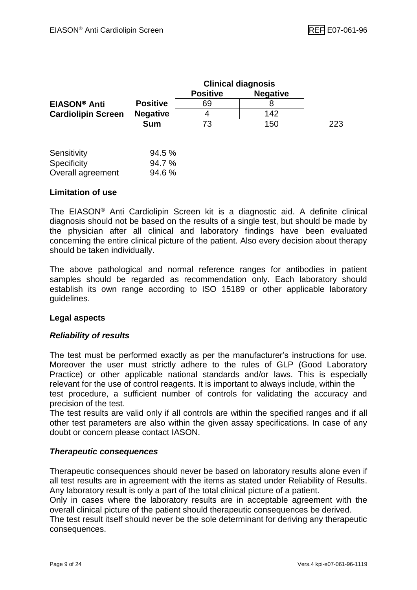|                           |                 | <b>Clinical diagnosis</b> |                 |     |  |
|---------------------------|-----------------|---------------------------|-----------------|-----|--|
|                           |                 | <b>Positive</b>           | <b>Negative</b> |     |  |
| EIASON <sup>®</sup> Anti  | <b>Positive</b> | 69                        | 8               |     |  |
| <b>Cardiolipin Screen</b> | <b>Negative</b> | 4                         | 142             |     |  |
|                           | <b>Sum</b>      | 73                        | 150             | 223 |  |
| Sensitivity               | 94.5 %          |                           |                 |     |  |
| Specificity               | 94.7 %          |                           |                 |     |  |
| Overall agreement         | 94.6 %          |                           |                 |     |  |

#### **Limitation of use**

The EIASON® Anti Cardiolipin Screen kit is a diagnostic aid. A definite clinical diagnosis should not be based on the results of a single test, but should be made by the physician after all clinical and laboratory findings have been evaluated concerning the entire clinical picture of the patient. Also every decision about therapy should be taken individually.

The above pathological and normal reference ranges for antibodies in patient samples should be regarded as recommendation only. Each laboratory should establish its own range according to ISO 15189 or other applicable laboratory guidelines.

#### **Legal aspects**

# *Reliability of results*

The test must be performed exactly as per the manufacturer's instructions for use. Moreover the user must strictly adhere to the rules of GLP (Good Laboratory Practice) or other applicable national standards and/or laws. This is especially relevant for the use of control reagents. It is important to always include, within the test procedure, a sufficient number of controls for validating the accuracy and precision of the test.

The test results are valid only if all controls are within the specified ranges and if all other test parameters are also within the given assay specifications. In case of any doubt or concern please contact IASON.

#### *Therapeutic consequences*

Therapeutic consequences should never be based on laboratory results alone even if all test results are in agreement with the items as stated under Reliability of Results. Any laboratory result is only a part of the total clinical picture of a patient.

Only in cases where the laboratory results are in acceptable agreement with the overall clinical picture of the patient should therapeutic consequences be derived.

The test result itself should never be the sole determinant for deriving any therapeutic consequences.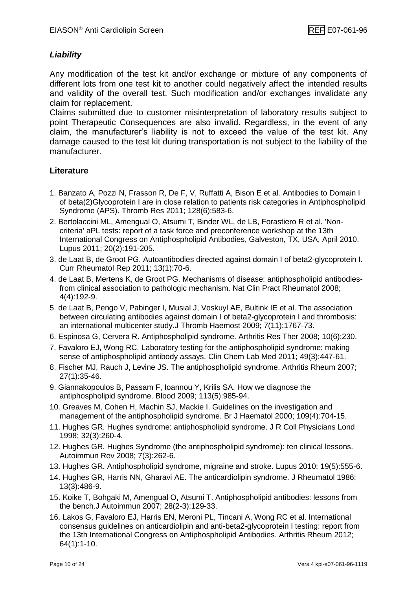# *Liability*

Any modification of the test kit and/or exchange or mixture of any components of different lots from one test kit to another could negatively affect the intended results and validity of the overall test. Such modification and/or exchanges invalidate any claim for replacement.

Claims submitted due to customer misinterpretation of laboratory results subject to point Therapeutic Consequences are also invalid. Regardless, in the event of any claim, the manufacturer's liability is not to exceed the value of the test kit. Any damage caused to the test kit during transportation is not subject to the liability of the manufacturer.

# **Literature**

- 1. Banzato A, Pozzi N, Frasson R, De F, V, Ruffatti A, Bison E et al. Antibodies to Domain I of beta(2)Glycoprotein I are in close relation to patients risk categories in Antiphospholipid Syndrome (APS). Thromb Res 2011; 128(6):583-6.
- 2. Bertolaccini ML, Amengual O, Atsumi T, Binder WL, de LB, Forastiero R et al. 'Noncriteria' aPL tests: report of a task force and preconference workshop at the 13th International Congress on Antiphospholipid Antibodies, Galveston, TX, USA, April 2010. Lupus 2011; 20(2):191-205.
- 3. de Laat B, de Groot PG. Autoantibodies directed against domain I of beta2-glycoprotein I. Curr Rheumatol Rep 2011; 13(1):70-6.
- 4. de Laat B, Mertens K, de Groot PG. Mechanisms of disease: antiphospholipid antibodiesfrom clinical association to pathologic mechanism. Nat Clin Pract Rheumatol 2008; 4(4):192-9.
- 5. de Laat B, Pengo V, Pabinger I, Musial J, Voskuyl AE, Bultink IE et al. The association between circulating antibodies against domain I of beta2-glycoprotein I and thrombosis: an international multicenter study.J Thromb Haemost 2009; 7(11):1767-73.
- 6. Espinosa G, Cervera R. Antiphospholipid syndrome. Arthritis Res Ther 2008; 10(6):230.
- 7. Favaloro EJ, Wong RC. Laboratory testing for the antiphospholipid syndrome: making sense of antiphospholipid antibody assays. Clin Chem Lab Med 2011; 49(3):447-61.
- 8. Fischer MJ, Rauch J, Levine JS. The antiphospholipid syndrome. Arthritis Rheum 2007; 27(1):35-46.
- 9. Giannakopoulos B, Passam F, Ioannou Y, Krilis SA. How we diagnose the antiphospholipid syndrome. Blood 2009; 113(5):985-94.
- 10. Greaves M, Cohen H, Machin SJ, Mackie I. Guidelines on the investigation and management of the antiphospholipid syndrome. Br J Haematol 2000; 109(4):704-15.
- 11. Hughes GR. Hughes syndrome: antiphospholipid syndrome. J R Coll Physicians Lond 1998; 32(3):260-4.
- 12. Hughes GR. Hughes Syndrome (the antiphospholipid syndrome): ten clinical lessons. Autoimmun Rev 2008; 7(3):262-6.
- 13. Hughes GR. Antiphospholipid syndrome, migraine and stroke. Lupus 2010; 19(5):555-6.
- 14. Hughes GR, Harris NN, Gharavi AE. The anticardiolipin syndrome. J Rheumatol 1986; 13(3):486-9.
- 15. Koike T, Bohgaki M, Amengual O, Atsumi T. Antiphospholipid antibodies: lessons from the bench.J Autoimmun 2007; 28(2-3):129-33.
- 16. Lakos G, Favaloro EJ, Harris EN, Meroni PL, Tincani A, Wong RC et al. International consensus guidelines on anticardiolipin and anti-beta2-glycoprotein I testing: report from the 13th International Congress on Antiphospholipid Antibodies. Arthritis Rheum 2012; 64(1):1-10.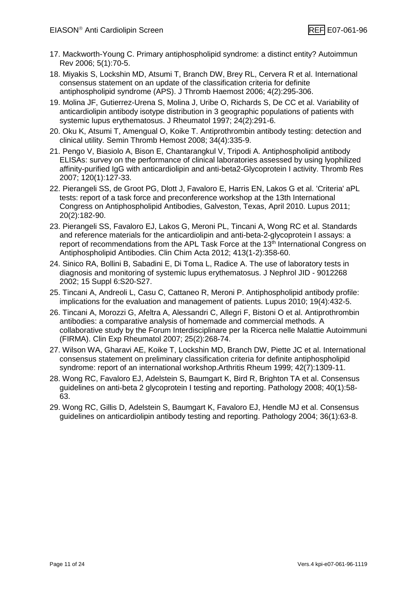- 17. Mackworth-Young C. Primary antiphospholipid syndrome: a distinct entity? Autoimmun Rev 2006; 5(1):70-5.
- 18. Miyakis S, Lockshin MD, Atsumi T, Branch DW, Brey RL, Cervera R et al. International consensus statement on an update of the classification criteria for definite antiphospholipid syndrome (APS). J Thromb Haemost 2006; 4(2):295-306.
- 19. Molina JF, Gutierrez-Urena S, Molina J, Uribe O, Richards S, De CC et al. Variability of anticardiolipin antibody isotype distribution in 3 geographic populations of patients with systemic lupus erythematosus. J Rheumatol 1997; 24(2):291-6.
- 20. Oku K, Atsumi T, Amengual O, Koike T. Antiprothrombin antibody testing: detection and clinical utility. Semin Thromb Hemost 2008; 34(4):335-9.
- 21. Pengo V, Biasiolo A, Bison E, Chantarangkul V, Tripodi A. Antiphospholipid antibody ELISAs: survey on the performance of clinical laboratories assessed by using lyophilized affinity-purified IgG with anticardiolipin and anti-beta2-Glycoprotein I activity. Thromb Res 2007; 120(1):127-33.
- 22. Pierangeli SS, de Groot PG, Dlott J, Favaloro E, Harris EN, Lakos G et al. 'Criteria' aPL tests: report of a task force and preconference workshop at the 13th International Congress on Antiphospholipid Antibodies, Galveston, Texas, April 2010. Lupus 2011; 20(2):182-90.
- 23. Pierangeli SS, Favaloro EJ, Lakos G, Meroni PL, Tincani A, Wong RC et al. Standards and reference materials for the anticardiolipin and anti-beta-2-glycoprotein I assays: a report of recommendations from the APL Task Force at the  $13<sup>th</sup>$  International Congress on Antiphospholipid Antibodies. Clin Chim Acta 2012; 413(1-2):358-60.
- 24. Sinico RA, Bollini B, Sabadini E, Di Toma L, Radice A. The use of laboratory tests in diagnosis and monitoring of systemic lupus erythematosus. J Nephrol JID - 9012268 2002; 15 Suppl 6:S20-S27.
- 25. Tincani A, Andreoli L, Casu C, Cattaneo R, Meroni P. Antiphospholipid antibody profile: implications for the evaluation and management of patients. Lupus 2010; 19(4):432-5.
- 26. Tincani A, Morozzi G, Afeltra A, Alessandri C, Allegri F, Bistoni O et al. Antiprothrombin antibodies: a comparative analysis of homemade and commercial methods. A collaborative study by the Forum Interdisciplinare per la Ricerca nelle Malattie Autoimmuni (FIRMA). Clin Exp Rheumatol 2007; 25(2):268-74.
- 27. Wilson WA, Gharavi AE, Koike T, Lockshin MD, Branch DW, Piette JC et al. International consensus statement on preliminary classification criteria for definite antiphospholipid syndrome: report of an international workshop.Arthritis Rheum 1999; 42(7):1309-11.
- 28. Wong RC, Favaloro EJ, Adelstein S, Baumgart K, Bird R, Brighton TA et al. Consensus guidelines on anti-beta 2 glycoprotein I testing and reporting. Pathology 2008; 40(1):58- 63.
- 29. Wong RC, Gillis D, Adelstein S, Baumgart K, Favaloro EJ, Hendle MJ et al. Consensus guidelines on anticardiolipin antibody testing and reporting. Pathology 2004; 36(1):63-8.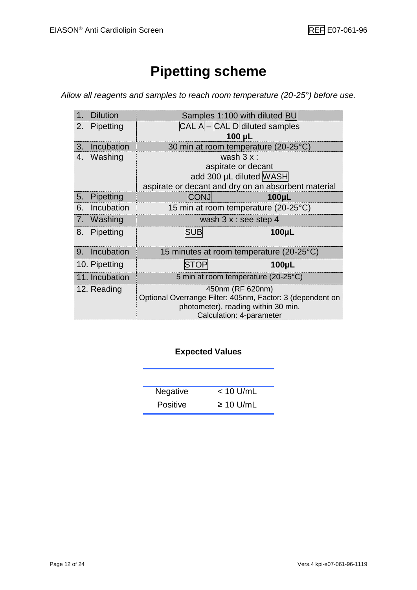# **Pipetting scheme**

*Allow all reagents and samples to reach room temperature (20-25°) before use.*

|    | <b>Dilution</b> | Samples 1:100 with diluted BU                                                                                                                    |                  |  |  |
|----|-----------------|--------------------------------------------------------------------------------------------------------------------------------------------------|------------------|--|--|
| 2. | Pipetting       | $CAL$ A $-$ CAL D diluted samples                                                                                                                |                  |  |  |
|    |                 | 100 µL                                                                                                                                           |                  |  |  |
| 3. | Incubation      | 30 min at room temperature (20-25°C)                                                                                                             |                  |  |  |
|    | 4. Washing      | wash $3x$ :                                                                                                                                      |                  |  |  |
|    |                 | aspirate or decant                                                                                                                               |                  |  |  |
|    |                 | add 300 µL diluted MASH                                                                                                                          |                  |  |  |
|    |                 | aspirate or decant and dry on an absorbent material                                                                                              |                  |  |  |
| 5. | Pipetting       | <b>CONJ</b>                                                                                                                                      | 100µL            |  |  |
| 6. | Incubation      | 15 min at room temperature (20-25°C)                                                                                                             |                  |  |  |
|    | 7. Washing      | wash $3x:$ see step 4                                                                                                                            |                  |  |  |
|    | 8. Pipetting    | ISUB                                                                                                                                             | 100 <sub>µ</sub> |  |  |
|    | 9. Incubation   | 15 minutes at room temperature (20-25°C)                                                                                                         |                  |  |  |
|    | 10. Pipetting   | <b>STOP</b>                                                                                                                                      | <b>100µL</b>     |  |  |
|    | 11. Incubation  | 5 min at room temperature (20-25°C)                                                                                                              |                  |  |  |
|    | 12. Reading     | 450nm (RF 620nm)<br>Optional Overrange Filter: 405nm, Factor: 3 (dependent on<br>photometer), reading within 30 min.<br>Calculation: 4-parameter |                  |  |  |

# **Expected Values**

| <b>Negative</b> | $< 10$ U/mL    |
|-----------------|----------------|
| <b>Positive</b> | $\geq 10$ U/mL |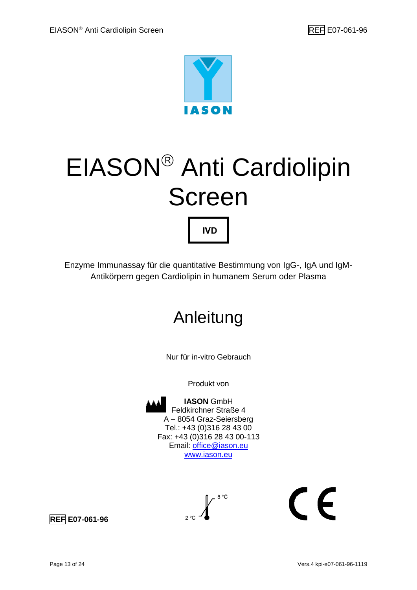

# EIASON<sup>®</sup> Anti Cardiolipin Screen **IVD**

Enzyme Immunassay für die quantitative Bestimmung von IgG-, IgA und IgM-Antikörpern gegen Cardiolipin in humanem Serum oder Plasma

# Anleitung

Nur für in-vitro Gebrauch

Produkt von



**IASON** GmbH Feldkirchner Straße 4 A – 8054 Graz-Seiersberg Tel.: +43 (0)316 28 43 00 Fax: +43 (0)316 28 43 00-113 Email: [office@iason.eu](mailto:office@iason.eu) [www.iason.eu](http://www.iason.eu/)



**REF E07-061-96** 

 $\epsilon$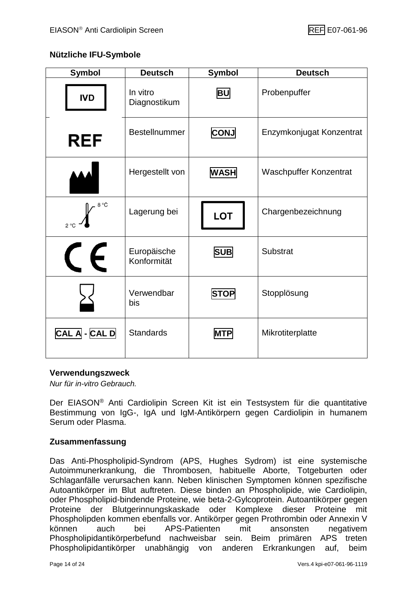# **Nützliche IFU-Symbole**

| <b>Symbol</b>        | <b>Deutsch</b>             | <b>Symbol</b> | <b>Deutsch</b>                |
|----------------------|----------------------------|---------------|-------------------------------|
| <b>IVD</b>           | In vitro<br>Diagnostikum   | <b>BU</b>     | Probenpuffer                  |
| <b>REF</b>           | <b>Bestellnummer</b>       | <b>CONJ</b>   | Enzymkonjugat Konzentrat      |
|                      | Hergestellt von            | <b>WASH</b>   | <b>Waschpuffer Konzentrat</b> |
| 8 °C<br>$2^{\circ}C$ | Lagerung bei               | <b>LOT</b>    | Chargenbezeichnung            |
| F                    | Europäische<br>Konformität | <b>SUB</b>    | Substrat                      |
|                      | Verwendbar<br>bis          | <b>STOP</b>   | Stopplösung                   |
| CAL A - CAL D        | <b>Standards</b>           | <b>MTP</b>    | Mikrotiterplatte              |

#### **Verwendungszweck**

*Nur für in-vitro Gebrauch.*

Der EIASON® Anti Cardiolipin Screen Kit ist ein Testsystem für die quantitative Bestimmung von IgG-, IgA und IgM-Antikörpern gegen Cardiolipin in humanem Serum oder Plasma.

# **Zusammenfassung**

Das Anti-Phospholipid-Syndrom (APS, Hughes Sydrom) ist eine systemische Autoimmunerkrankung, die Thrombosen, habituelle Aborte, Totgeburten oder Schlaganfälle verursachen kann. Neben klinischen Symptomen können spezifische Autoantikörper im Blut auftreten. Diese binden an Phospholipide, wie Cardiolipin, oder Phospholipid-bindende Proteine, wie beta-2-Gylcoprotein. Autoantikörper gegen Proteine der Blutgerinnungskaskade oder Komplexe dieser Proteine mit Phospholipden kommen ebenfalls vor. Antikörper gegen Prothrombin oder Annexin V können auch bei APS-Patienten mit ansonsten negativem Phospholipidantikörperbefund nachweisbar sein. Beim primären APS treten Phospholipidantikörper unabhängig von anderen Erkrankungen auf, beim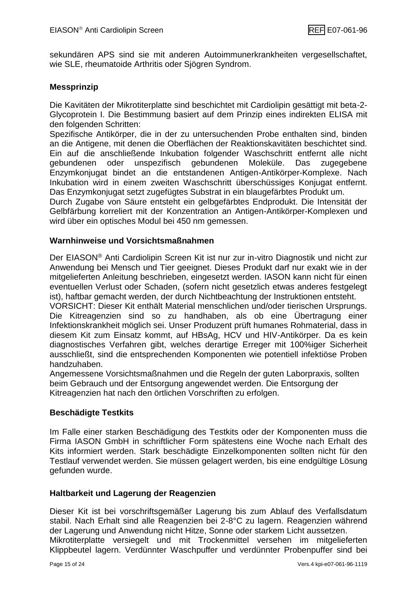sekundären APS sind sie mit anderen Autoimmunerkrankheiten vergesellschaftet, wie SLE, rheumatoide Arthritis oder Sjögren Syndrom.

# **Messprinzip**

Die Kavitäten der Mikrotiterplatte sind beschichtet mit Cardiolipin gesättigt mit beta-2- Glycoprotein I. Die Bestimmung basiert auf dem Prinzip eines indirekten ELISA mit den folgenden Schritten:

Spezifische Antikörper, die in der zu untersuchenden Probe enthalten sind, binden an die Antigene, mit denen die Oberflächen der Reaktionskavitäten beschichtet sind. Ein auf die anschließende Inkubation folgender Waschschritt entfernt alle nicht gebundenen oder unspezifisch gebundenen Moleküle. Das zugegebene Enzymkonjugat bindet an die entstandenen Antigen-Antikörper-Komplexe. Nach Inkubation wird in einem zweiten Waschschritt überschüssiges Konjugat entfernt. Das Enzymkonjugat setzt zugefügtes Substrat in ein blaugefärbtes Produkt um.

Durch Zugabe von Säure entsteht ein gelbgefärbtes Endprodukt. Die Intensität der Gelbfärbung korreliert mit der Konzentration an Antigen-Antikörper-Komplexen und wird über ein optisches Modul bei 450 nm gemessen.

# **Warnhinweise und Vorsichtsmaßnahmen**

Der EIASON® Anti Cardiolipin Screen Kit ist nur zur in-vitro Diagnostik und nicht zur Anwendung bei Mensch und Tier geeignet. Dieses Produkt darf nur exakt wie in der mitgelieferten Anleitung beschrieben, eingesetzt werden. IASON kann nicht für einen eventuellen Verlust oder Schaden, (sofern nicht gesetzlich etwas anderes festgelegt ist), haftbar gemacht werden, der durch Nichtbeachtung der Instruktionen entsteht.

VORSICHT: Dieser Kit enthält Material menschlichen und/oder tierischen Ursprungs. Die Kitreagenzien sind so zu handhaben, als ob eine Übertragung einer Infektionskrankheit möglich sei. Unser Produzent prüft humanes Rohmaterial, dass in diesem Kit zum Einsatz kommt, auf HBsAg, HCV und HIV-Antikörper. Da es kein diagnostisches Verfahren gibt, welches derartige Erreger mit 100%iger Sicherheit ausschließt, sind die entsprechenden Komponenten wie potentiell infektiöse Proben handzuhaben.

Angemessene Vorsichtsmaßnahmen und die Regeln der guten Laborpraxis, sollten beim Gebrauch und der Entsorgung angewendet werden. Die Entsorgung der Kitreagenzien hat nach den örtlichen Vorschriften zu erfolgen.

# **Beschädigte Testkits**

Im Falle einer starken Beschädigung des Testkits oder der Komponenten muss die Firma IASON GmbH in schriftlicher Form spätestens eine Woche nach Erhalt des Kits informiert werden. Stark beschädigte Einzelkomponenten sollten nicht für den Testlauf verwendet werden. Sie müssen gelagert werden, bis eine endgültige Lösung gefunden wurde.

# **Haltbarkeit und Lagerung der Reagenzien**

Dieser Kit ist bei vorschriftsgemäßer Lagerung bis zum Ablauf des Verfallsdatum stabil. Nach Erhalt sind alle Reagenzien bei 2-8°C zu lagern. Reagenzien während der Lagerung und Anwendung nicht Hitze, Sonne oder starkem Licht aussetzen. Mikrotiterplatte versiegelt und mit Trockenmittel versehen im mitgelieferten

Klippbeutel lagern. Verdünnter Waschpuffer und verdünnter Probenpuffer sind bei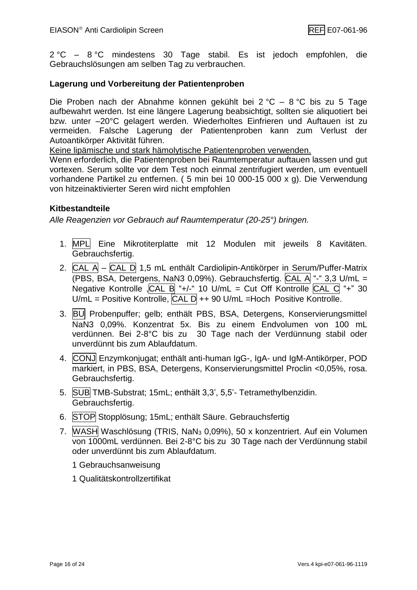2 °C – 8 °C mindestens 30 Tage stabil. Es ist jedoch empfohlen, die Gebrauchslösungen am selben Tag zu verbrauchen.

# **Lagerung und Vorbereitung der Patientenproben**

Die Proben nach der Abnahme können gekühlt bei 2 °C – 8 °C bis zu 5 Tage aufbewahrt werden. Ist eine längere Lagerung beabsichtigt, sollten sie aliquotiert bei bzw. unter –20°C gelagert werden. Wiederholtes Einfrieren und Auftauen ist zu vermeiden. Falsche Lagerung der Patientenproben kann zum Verlust der Autoantikörper Aktivität führen.

Keine lipämische und stark hämolytische Patientenproben verwenden.

Wenn erforderlich, die Patientenproben bei Raumtemperatur auftauen lassen und gut vortexen. Serum sollte vor dem Test noch einmal zentrifugiert werden, um eventuell vorhandene Partikel zu entfernen. ( 5 min bei 10 000-15 000 x g). Die Verwendung von hitzeinaktivierter Seren wird nicht empfohlen

# **Kitbestandteile**

*Alle Reagenzien vor Gebrauch auf Raumtemperatur (20-25°) bringen.*

- 1. MPL Eine Mikrotiterplatte mit 12 Modulen mit jeweils 8 Kavitäten. Gebrauchsfertig.
- 2.  $\overline{CAL }$  A  $\overline{CAL }$  D 1,5 mL enthält Cardiolipin-Antikörper in Serum/Puffer-Matrix (PBS, BSA, Detergens, NaN3 0,09%). Gebrauchsfertig. CAL A "-" 3,3 U/mL = Negative Kontrolle  $\overline{CAL}$  B "+/-" 10 U/mL = Cut Off Kontrolle CAL C "+" 30  $U/mL = Positive Kontrolle, [CAL D] ++ 90 U/mL = Hoch Positive Kontrolle.$
- 3. BU Probenpuffer; gelb; enthält PBS, BSA, Detergens, Konservierungsmittel NaN3 0,09%. Konzentrat 5x. Bis zu einem Endvolumen von 100 mL verdünnen. Bei 2-8°C bis zu 30 Tage nach der Verdünnung stabil oder unverdünnt bis zum Ablaufdatum.
- 4. CONJ Enzymkonjugat; enthält anti-human IgG-, IgA- und IgM-Antikörper, POD markiert, in PBS, BSA, Detergens, Konservierungsmittel Proclin <0,05%, rosa. Gebrauchsfertig.
- 5. SUB TMB-Substrat; 15mL; enthält 3,3', 5,5'- Tetramethylbenzidin. Gebrauchsfertig.
- 6. STOP Stopplösung; 15mL; enthält Säure. Gebrauchsfertig
- 7. WASH Waschlösung (TRIS, NaN<sub>3</sub> 0,09%), 50 x konzentriert. Auf ein Volumen von 1000mL verdünnen. Bei 2-8°C bis zu 30 Tage nach der Verdünnung stabil oder unverdünnt bis zum Ablaufdatum.
	- 1 Gebrauchsanweisung
	- 1 Qualitätskontrollzertifikat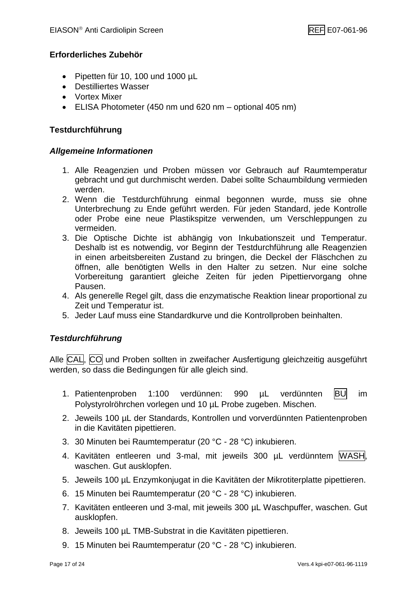# **Erforderliches Zubehör**

- Pipetten für 10, 100 und 1000 µL
- Destilliertes Wasser
- Vortex Mixer
- ELISA Photometer (450 nm und 620 nm optional 405 nm)

# **Testdurchführung**

## *Allgemeine Informationen*

- 1. Alle Reagenzien und Proben müssen vor Gebrauch auf Raumtemperatur gebracht und gut durchmischt werden. Dabei sollte Schaumbildung vermieden werden.
- 2. Wenn die Testdurchführung einmal begonnen wurde, muss sie ohne Unterbrechung zu Ende geführt werden. Für jeden Standard, jede Kontrolle oder Probe eine neue Plastikspitze verwenden, um Verschleppungen zu vermeiden.
- 3. Die Optische Dichte ist abhängig von Inkubationszeit und Temperatur. Deshalb ist es notwendig, vor Beginn der Testdurchführung alle Reagenzien in einen arbeitsbereiten Zustand zu bringen, die Deckel der Fläschchen zu öffnen, alle benötigten Wells in den Halter zu setzen. Nur eine solche Vorbereitung garantiert gleiche Zeiten für jeden Pipettiervorgang ohne Pausen.
- 4. Als generelle Regel gilt, dass die enzymatische Reaktion linear proportional zu Zeit und Temperatur ist.
- 5. Jeder Lauf muss eine Standardkurve und die Kontrollproben beinhalten.

# *Testdurchführung*

Alle CAL, CO und Proben sollten in zweifacher Ausfertigung gleichzeitig ausgeführt werden, so dass die Bedingungen für alle gleich sind.

- 1. Patientenproben 1:100 verdünnen: 990 µL verdünnten BU im Polystyrolröhrchen vorlegen und 10 µL Probe zugeben. Mischen.
- 2. Jeweils 100 µL der Standards, Kontrollen und vorverdünnten Patientenproben in die Kavitäten pipettieren.
- 3. 30 Minuten bei Raumtemperatur (20 °C 28 °C) inkubieren.
- 4. Kavitäten entleeren und 3-mal, mit jeweils 300 µL verdünntem WASH, waschen. Gut ausklopfen.
- 5. Jeweils 100 µL Enzymkonjugat in die Kavitäten der Mikrotiterplatte pipettieren.
- 6. 15 Minuten bei Raumtemperatur (20 °C 28 °C) inkubieren.
- 7. Kavitäten entleeren und 3-mal, mit jeweils 300 µL Waschpuffer, waschen. Gut ausklopfen.
- 8. Jeweils 100 µL TMB-Substrat in die Kavitäten pipettieren.
- 9. 15 Minuten bei Raumtemperatur (20 °C 28 °C) inkubieren.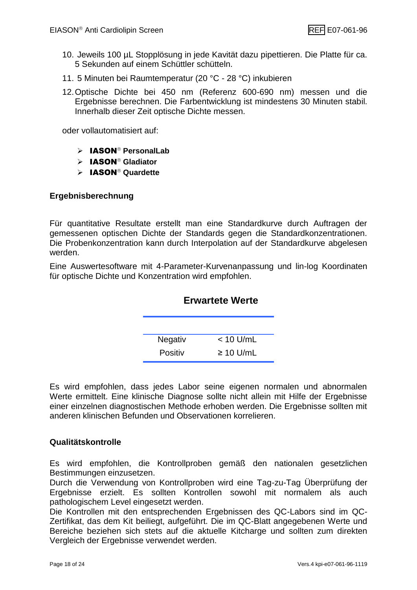- 10. Jeweils 100 µL Stopplösung in jede Kavität dazu pipettieren. Die Platte für ca. 5 Sekunden auf einem Schüttler schütteln.
- 11. 5 Minuten bei Raumtemperatur (20 °C 28 °C) inkubieren
- 12.Optische Dichte bei 450 nm (Referenz 600-690 nm) messen und die Ergebnisse berechnen. Die Farbentwicklung ist mindestens 30 Minuten stabil. Innerhalb dieser Zeit optische Dichte messen.

oder vollautomatisiert auf:

- > **IASON<sup>®</sup> Personall ab**
- > **IASON<sup>®</sup> Gladiator**
- > IASON<sup>®</sup> Quardette

# **Ergebnisberechnung**

Für quantitative Resultate erstellt man eine Standardkurve durch Auftragen der gemessenen optischen Dichte der Standards gegen die Standardkonzentrationen. Die Probenkonzentration kann durch Interpolation auf der Standardkurve abgelesen werden.

Eine Auswertesoftware mit 4-Parameter-Kurvenanpassung und lin-log Koordinaten für optische Dichte und Konzentration wird empfohlen.

|         | <b>Erwartete Werte</b> |  |  |
|---------|------------------------|--|--|
|         |                        |  |  |
| Negativ | $<$ 10 U/mL            |  |  |
| Positiv | $\geq 10$ U/mL         |  |  |

#### Es wird empfohlen, dass jedes Labor seine eigenen normalen und abnormalen Werte ermittelt. Eine klinische Diagnose sollte nicht allein mit Hilfe der Ergebnisse einer einzelnen diagnostischen Methode erhoben werden. Die Ergebnisse sollten mit anderen klinischen Befunden und Observationen korrelieren.

# **Qualitätskontrolle**

Es wird empfohlen, die Kontrollproben gemäß den nationalen gesetzlichen Bestimmungen einzusetzen.

Durch die Verwendung von Kontrollproben wird eine Tag-zu-Tag Überprüfung der Ergebnisse erzielt. Es sollten Kontrollen sowohl mit normalem als auch pathologischem Level eingesetzt werden.

Die Kontrollen mit den entsprechenden Ergebnissen des QC-Labors sind im QC-Zertifikat, das dem Kit beiliegt, aufgeführt. Die im QC-Blatt angegebenen Werte und Bereiche beziehen sich stets auf die aktuelle Kitcharge und sollten zum direkten Vergleich der Ergebnisse verwendet werden.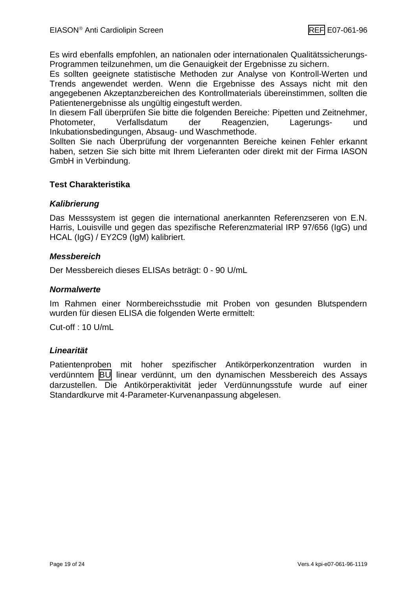Es wird ebenfalls empfohlen, an nationalen oder internationalen Qualitätssicherungs-Programmen teilzunehmen, um die Genauigkeit der Ergebnisse zu sichern.

Es sollten geeignete statistische Methoden zur Analyse von Kontroll-Werten und Trends angewendet werden. Wenn die Ergebnisse des Assays nicht mit den angegebenen Akzeptanzbereichen des Kontrollmaterials übereinstimmen, sollten die Patientenergebnisse als ungültig eingestuft werden.

In diesem Fall überprüfen Sie bitte die folgenden Bereiche: Pipetten und Zeitnehmer, Photometer, Verfallsdatum der Reagenzien, Lagerungs- und Inkubationsbedingungen, Absaug- und Waschmethode.

Sollten Sie nach Überprüfung der vorgenannten Bereiche keinen Fehler erkannt haben, setzen Sie sich bitte mit Ihrem Lieferanten oder direkt mit der Firma IASON GmbH in Verbindung.

#### **Test Charakteristika**

#### *Kalibrierung*

Das Messsystem ist gegen die international anerkannten Referenzseren von E.N. Harris, Louisville und gegen das spezifische Referenzmaterial IRP 97/656 (IgG) und HCAL (IgG) / EY2C9 (IgM) kalibriert.

#### *Messbereich*

Der Messbereich dieses ELISAs beträgt: 0 - 90 U/mL

#### *Normalwerte*

Im Rahmen einer Normbereichsstudie mit Proben von gesunden Blutspendern wurden für diesen ELISA die folgenden Werte ermittelt:

Cut-off : 10 U/mL

# *Linearität*

Patientenproben mit hoher spezifischer Antikörperkonzentration wurden in verdünntem **BU** linear verdünnt, um den dynamischen Messbereich des Assays darzustellen. Die Antikörperaktivität jeder Verdünnungsstufe wurde auf einer Standardkurve mit 4-Parameter-Kurvenanpassung abgelesen.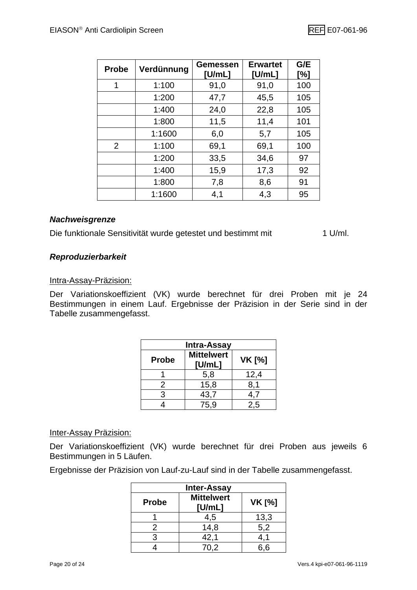| <b>Probe</b> | Verdünnung | Gemessen<br>[U/mL] | <b>Erwartet</b><br>[U/mL] | G/E<br>[%] |
|--------------|------------|--------------------|---------------------------|------------|
| 1            | 1:100      | 91,0               | 91,0                      | 100        |
|              | 1:200      | 47,7               | 45,5                      | 105        |
|              | 1:400      | 24,0               | 22,8                      | 105        |
|              | 1:800      | 11,5               | 11,4                      | 101        |
|              | 1:1600     | 6,0                | 5,7                       | 105        |
| 2            | 1:100      | 69,1               | 69,1                      | 100        |
|              | 1:200      | 33,5               | 34,6                      | 97         |
|              | 1:400      | 15,9               | 17,3                      | 92         |
|              | 1:800      | 7,8                | 8,6                       | 91         |
|              | 1:1600     | 4,1                | 4,3                       | 95         |

#### *Nachweisgrenze*

Die funktionale Sensitivität wurde getestet und bestimmt mit 1 U/ml.

# *Reproduzierbarkeit*

#### Intra-Assay-Präzision:

Der Variationskoeffizient (VK) wurde berechnet für drei Proben mit je 24 Bestimmungen in einem Lauf. Ergebnisse der Präzision in der Serie sind in der Tabelle zusammengefasst.

| <b>Intra-Assay</b> |                             |               |  |
|--------------------|-----------------------------|---------------|--|
| <b>Probe</b>       | <b>Mittelwert</b><br>[U/mL] | <b>VK [%]</b> |  |
|                    | 5,8                         | 12,4          |  |
| 2                  | 15,8                        | 8,1           |  |
| 3                  | 43,7                        | 4,7           |  |
|                    | 75,9                        | 2.5           |  |

#### Inter-Assay Präzision:

Der Variationskoeffizient (VK) wurde berechnet für drei Proben aus jeweils 6 Bestimmungen in 5 Läufen.

Ergebnisse der Präzision von Lauf-zu-Lauf sind in der Tabelle zusammengefasst.

| <b>Inter-Assay</b> |                             |               |
|--------------------|-----------------------------|---------------|
| <b>Probe</b>       | <b>Mittelwert</b><br>[U/mL] | <b>VK [%]</b> |
|                    | 4,5                         | 13,3          |
|                    | 14,8                        | 5,2           |
| વ                  | 42,1                        | 4,1           |
|                    | 70,2                        | 6,6           |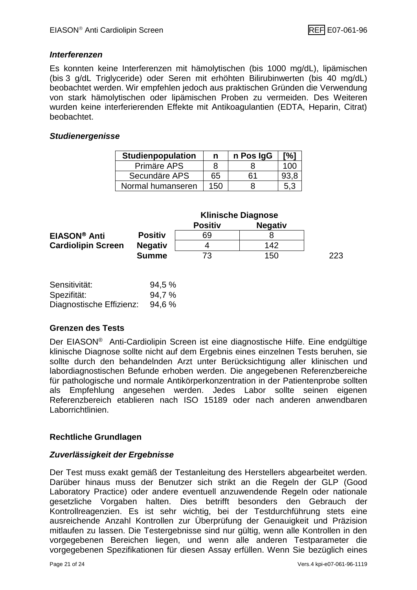## *Interferenzen*

Es konnten keine Interferenzen mit hämolytischen (bis 1000 mg/dL), lipämischen (bis 3 g/dL Triglyceride) oder Seren mit erhöhten Bilirubinwerten (bis 40 mg/dL) beobachtet werden. Wir empfehlen jedoch aus praktischen Gründen die Verwendung von stark hämolytischen oder lipämischen Proben zu vermeiden. Des Weiteren wurden keine interferierenden Effekte mit Antikoagulantien (EDTA, Heparin, Citrat) beobachtet.

## *Studienergenisse*

| Studienpopulation | n    | n Pos IgG | r%1 |
|-------------------|------|-----------|-----|
| Primäre APS       |      |           | 10C |
| Secundäre APS     | 65   | 61        |     |
| Normal humanseren | 150. |           | 5.3 |

|                           |                               | <b>Klinische Diagnose</b> |                |     |
|---------------------------|-------------------------------|---------------------------|----------------|-----|
|                           |                               | <b>Positiv</b>            | <b>Negativ</b> |     |
| EIASON <sup>®</sup> Anti  | <b>Positiv</b>                | 69                        |                |     |
| <b>Cardiolipin Screen</b> | <b>Negativ</b>                |                           | 142            |     |
|                           | <b>Summe</b>                  | 73                        | 150            | 223 |
|                           | $\bigcap$ $\bigcap$ $\bigcap$ |                           |                |     |

| Sensitivität:            | 94,5 % |
|--------------------------|--------|
| Spezifität:              | 94,7 % |
| Diagnostische Effizienz: | 94.6 % |

# **Grenzen des Tests**

Der EIASON® Anti-Cardiolipin Screen ist eine diagnostische Hilfe. Eine endgültige klinische Diagnose sollte nicht auf dem Ergebnis eines einzelnen Tests beruhen, sie sollte durch den behandelnden Arzt unter Berücksichtigung aller klinischen und labordiagnostischen Befunde erhoben werden. Die angegebenen Referenzbereiche für pathologische und normale Antikörperkonzentration in der Patientenprobe sollten als Empfehlung angesehen werden. Jedes Labor sollte seinen eigenen Referenzbereich etablieren nach ISO 15189 oder nach anderen anwendbaren Laborrichtlinien.

# **Rechtliche Grundlagen**

# *Zuverlässigkeit der Ergebnisse*

Der Test muss exakt gemäß der Testanleitung des Herstellers abgearbeitet werden. Darüber hinaus muss der Benutzer sich strikt an die Regeln der GLP (Good Laboratory Practice) oder andere eventuell anzuwendende Regeln oder nationale gesetzliche Vorgaben halten. Dies betrifft besonders den Gebrauch der Kontrollreagenzien. Es ist sehr wichtig, bei der Testdurchführung stets eine ausreichende Anzahl Kontrollen zur Überprüfung der Genauigkeit und Präzision mitlaufen zu lassen. Die Testergebnisse sind nur gültig, wenn alle Kontrollen in den vorgegebenen Bereichen liegen, und wenn alle anderen Testparameter die vorgegebenen Spezifikationen für diesen Assay erfüllen. Wenn Sie bezüglich eines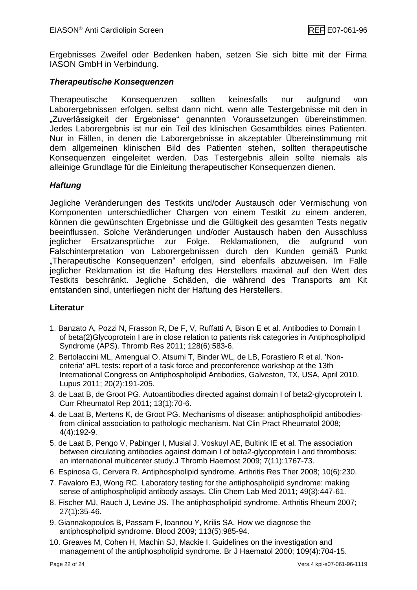Ergebnisses Zweifel oder Bedenken haben, setzen Sie sich bitte mit der Firma IASON GmbH in Verbindung.

# *Therapeutische Konsequenzen*

Therapeutische Konsequenzen sollten keinesfalls nur aufgrund von Laborergebnissen erfolgen, selbst dann nicht, wenn alle Testergebnisse mit den in "Zuverlässigkeit der Ergebnisse" genannten Voraussetzungen übereinstimmen. Jedes Laborergebnis ist nur ein Teil des klinischen Gesamtbildes eines Patienten. Nur in Fällen, in denen die Laborergebnisse in akzeptabler Übereinstimmung mit dem allgemeinen klinischen Bild des Patienten stehen, sollten therapeutische Konsequenzen eingeleitet werden. Das Testergebnis allein sollte niemals als alleinige Grundlage für die Einleitung therapeutischer Konsequenzen dienen.

# *Haftung*

Jegliche Veränderungen des Testkits und/oder Austausch oder Vermischung von Komponenten unterschiedlicher Chargen von einem Testkit zu einem anderen, können die gewünschten Ergebnisse und die Gültigkeit des gesamten Tests negativ beeinflussen. Solche Veränderungen und/oder Austausch haben den Ausschluss jeglicher Ersatzansprüche zur Folge. Reklamationen, die aufgrund von Falschinterpretation von Laborergebnissen durch den Kunden gemäß Punkt "Therapeutische Konsequenzen" erfolgen, sind ebenfalls abzuweisen. Im Falle jeglicher Reklamation ist die Haftung des Herstellers maximal auf den Wert des Testkits beschränkt. Jegliche Schäden, die während des Transports am Kit entstanden sind, unterliegen nicht der Haftung des Herstellers.

# **Literatur**

- 1. Banzato A, Pozzi N, Frasson R, De F, V, Ruffatti A, Bison E et al. Antibodies to Domain I of beta(2)Glycoprotein I are in close relation to patients risk categories in Antiphospholipid Syndrome (APS). Thromb Res 2011; 128(6):583-6.
- 2. Bertolaccini ML, Amengual O, Atsumi T, Binder WL, de LB, Forastiero R et al. 'Noncriteria' aPL tests: report of a task force and preconference workshop at the 13th International Congress on Antiphospholipid Antibodies, Galveston, TX, USA, April 2010. Lupus 2011; 20(2):191-205.
- 3. de Laat B, de Groot PG. Autoantibodies directed against domain I of beta2-glycoprotein I. Curr Rheumatol Rep 2011; 13(1):70-6.
- 4. de Laat B, Mertens K, de Groot PG. Mechanisms of disease: antiphospholipid antibodiesfrom clinical association to pathologic mechanism. Nat Clin Pract Rheumatol 2008; 4(4):192-9.
- 5. de Laat B, Pengo V, Pabinger I, Musial J, Voskuyl AE, Bultink IE et al. The association between circulating antibodies against domain I of beta2-glycoprotein I and thrombosis: an international multicenter study.J Thromb Haemost 2009; 7(11):1767-73.
- 6. Espinosa G, Cervera R. Antiphospholipid syndrome. Arthritis Res Ther 2008; 10(6):230.
- 7. Favaloro EJ, Wong RC. Laboratory testing for the antiphospholipid syndrome: making sense of antiphospholipid antibody assays. Clin Chem Lab Med 2011; 49(3):447-61.
- 8. Fischer MJ, Rauch J, Levine JS. The antiphospholipid syndrome. Arthritis Rheum 2007; 27(1):35-46.
- 9. Giannakopoulos B, Passam F, Ioannou Y, Krilis SA. How we diagnose the antiphospholipid syndrome. Blood 2009; 113(5):985-94.
- 10. Greaves M, Cohen H, Machin SJ, Mackie I. Guidelines on the investigation and management of the antiphospholipid syndrome. Br J Haematol 2000; 109(4):704-15.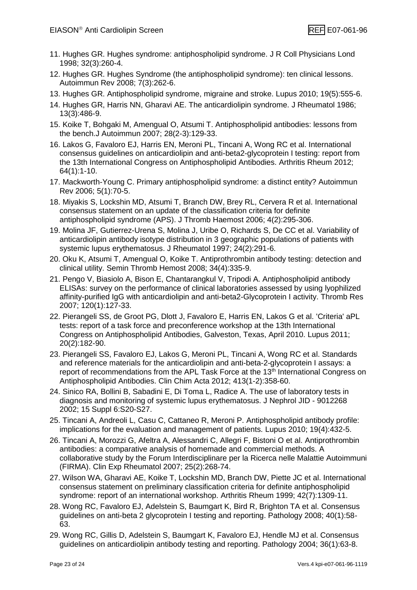- 11. Hughes GR. Hughes syndrome: antiphospholipid syndrome. J R Coll Physicians Lond 1998; 32(3):260-4.
- 12. Hughes GR. Hughes Syndrome (the antiphospholipid syndrome): ten clinical lessons. Autoimmun Rev 2008; 7(3):262-6.
- 13. Hughes GR. Antiphospholipid syndrome, migraine and stroke. Lupus 2010; 19(5):555-6.
- 14. Hughes GR, Harris NN, Gharavi AE. The anticardiolipin syndrome. J Rheumatol 1986; 13(3):486-9.
- 15. Koike T, Bohgaki M, Amengual O, Atsumi T. Antiphospholipid antibodies: lessons from the bench.J Autoimmun 2007; 28(2-3):129-33.
- 16. Lakos G, Favaloro EJ, Harris EN, Meroni PL, Tincani A, Wong RC et al. International consensus guidelines on anticardiolipin and anti-beta2-glycoprotein I testing: report from the 13th International Congress on Antiphospholipid Antibodies. Arthritis Rheum 2012; 64(1):1-10.
- 17. Mackworth-Young C. Primary antiphospholipid syndrome: a distinct entity? Autoimmun Rev 2006; 5(1):70-5.
- 18. Miyakis S, Lockshin MD, Atsumi T, Branch DW, Brey RL, Cervera R et al. International consensus statement on an update of the classification criteria for definite antiphospholipid syndrome (APS). J Thromb Haemost 2006; 4(2):295-306.
- 19. Molina JF, Gutierrez-Urena S, Molina J, Uribe O, Richards S, De CC et al. Variability of anticardiolipin antibody isotype distribution in 3 geographic populations of patients with systemic lupus erythematosus. J Rheumatol 1997; 24(2):291-6.
- 20. Oku K, Atsumi T, Amengual O, Koike T. Antiprothrombin antibody testing: detection and clinical utility. Semin Thromb Hemost 2008; 34(4):335-9.
- 21. Pengo V, Biasiolo A, Bison E, Chantarangkul V, Tripodi A. Antiphospholipid antibody ELISAs: survey on the performance of clinical laboratories assessed by using lyophilized affinity-purified IgG with anticardiolipin and anti-beta2-Glycoprotein I activity. Thromb Res 2007; 120(1):127-33.
- 22. Pierangeli SS, de Groot PG, Dlott J, Favaloro E, Harris EN, Lakos G et al. 'Criteria' aPL tests: report of a task force and preconference workshop at the 13th International Congress on Antiphospholipid Antibodies, Galveston, Texas, April 2010. Lupus 2011; 20(2):182-90.
- 23. Pierangeli SS, Favaloro EJ, Lakos G, Meroni PL, Tincani A, Wong RC et al. Standards and reference materials for the anticardiolipin and anti-beta-2-glycoprotein I assays: a report of recommendations from the APL Task Force at the  $13<sup>th</sup>$  International Congress on Antiphospholipid Antibodies. Clin Chim Acta 2012; 413(1-2):358-60.
- 24. Sinico RA, Bollini B, Sabadini E, Di Toma L, Radice A. The use of laboratory tests in diagnosis and monitoring of systemic lupus erythematosus. J Nephrol JID - 9012268 2002; 15 Suppl 6:S20-S27.
- 25. Tincani A, Andreoli L, Casu C, Cattaneo R, Meroni P. Antiphospholipid antibody profile: implications for the evaluation and management of patients. Lupus 2010; 19(4):432-5.
- 26. Tincani A, Morozzi G, Afeltra A, Alessandri C, Allegri F, Bistoni O et al. Antiprothrombin antibodies: a comparative analysis of homemade and commercial methods. A collaborative study by the Forum Interdisciplinare per la Ricerca nelle Malattie Autoimmuni (FIRMA). Clin Exp Rheumatol 2007; 25(2):268-74.
- 27. Wilson WA, Gharavi AE, Koike T, Lockshin MD, Branch DW, Piette JC et al. International consensus statement on preliminary classification criteria for definite antiphospholipid syndrome: report of an international workshop. Arthritis Rheum 1999; 42(7):1309-11.
- 28. Wong RC, Favaloro EJ, Adelstein S, Baumgart K, Bird R, Brighton TA et al. Consensus guidelines on anti-beta 2 glycoprotein I testing and reporting. Pathology 2008; 40(1):58- 63.
- 29. Wong RC, Gillis D, Adelstein S, Baumgart K, Favaloro EJ, Hendle MJ et al. Consensus guidelines on anticardiolipin antibody testing and reporting. Pathology 2004; 36(1):63-8.